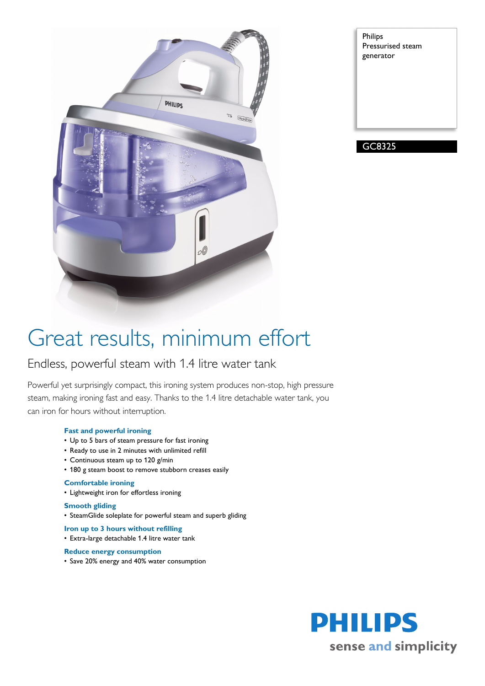

Philips Pressurised steam generator

GC8325

## Great results, minimum effort

### Endless, powerful steam with 1.4 litre water tank

Powerful yet surprisingly compact, this ironing system produces non-stop, high pressure steam, making ironing fast and easy. Thanks to the 1.4 litre detachable water tank, you can iron for hours without interruption.

### **Fast and powerful ironing**

- Up to 5 bars of steam pressure for fast ironing
- Ready to use in 2 minutes with unlimited refill
- Continuous steam up to 120 g/min
- 180 g steam boost to remove stubborn creases easily

### **Comfortable ironing**

• Lightweight iron for effortless ironing

#### **Smooth gliding**

• SteamGlide soleplate for powerful steam and superb gliding

**Iron up to 3 hours without refilling**

• Extra-large detachable 1.4 litre water tank

#### **Reduce energy consumption**

• Save 20% energy and 40% water consumption